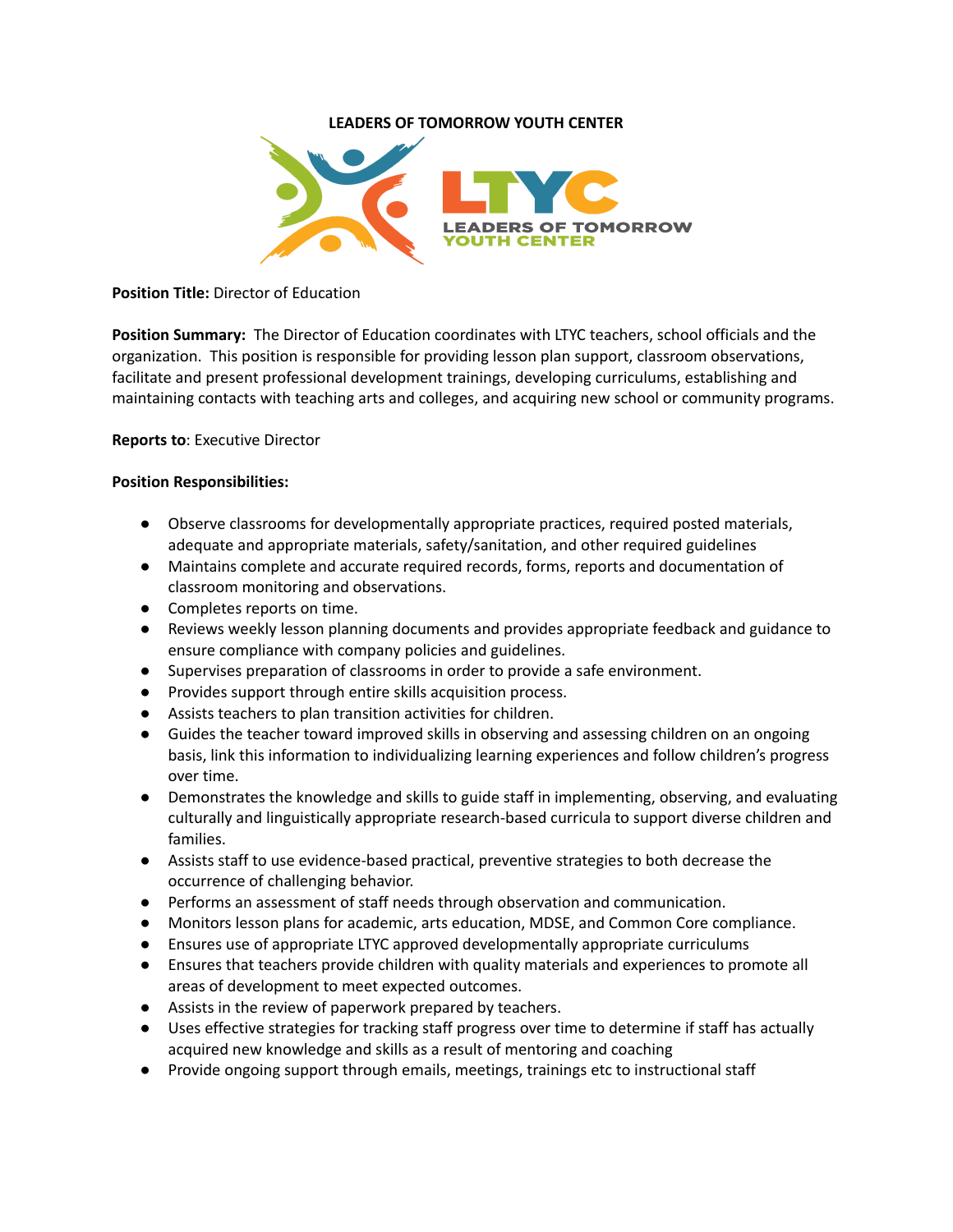## **LEADERS OF TOMORROW YOUTH CENTER**



### **Position Title:** Director of Education

**Position Summary:** The Director of Education coordinates with LTYC teachers, school officials and the organization. This position is responsible for providing lesson plan support, classroom observations, facilitate and present professional development trainings, developing curriculums, establishing and maintaining contacts with teaching arts and colleges, and acquiring new school or community programs.

### **Reports to**: Executive Director

### **Position Responsibilities:**

- Observe classrooms for developmentally appropriate practices, required posted materials, adequate and appropriate materials, safety/sanitation, and other required guidelines
- Maintains complete and accurate required records, forms, reports and documentation of classroom monitoring and observations.
- Completes reports on time.
- Reviews weekly lesson planning documents and provides appropriate feedback and guidance to ensure compliance with company policies and guidelines.
- Supervises preparation of classrooms in order to provide a safe environment.
- Provides support through entire skills acquisition process.
- Assists teachers to plan transition activities for children.
- Guides the teacher toward improved skills in observing and assessing children on an ongoing basis, link this information to individualizing learning experiences and follow children's progress over time.
- Demonstrates the knowledge and skills to guide staff in implementing, observing, and evaluating culturally and linguistically appropriate research-based curricula to support diverse children and families.
- Assists staff to use evidence-based practical, preventive strategies to both decrease the occurrence of challenging behavior.
- Performs an assessment of staff needs through observation and communication.
- Monitors lesson plans for academic, arts education, MDSE, and Common Core compliance.
- Ensures use of appropriate LTYC approved developmentally appropriate curriculums
- Ensures that teachers provide children with quality materials and experiences to promote all areas of development to meet expected outcomes.
- Assists in the review of paperwork prepared by teachers.
- Uses effective strategies for tracking staff progress over time to determine if staff has actually acquired new knowledge and skills as a result of mentoring and coaching
- Provide ongoing support through emails, meetings, trainings etc to instructional staff